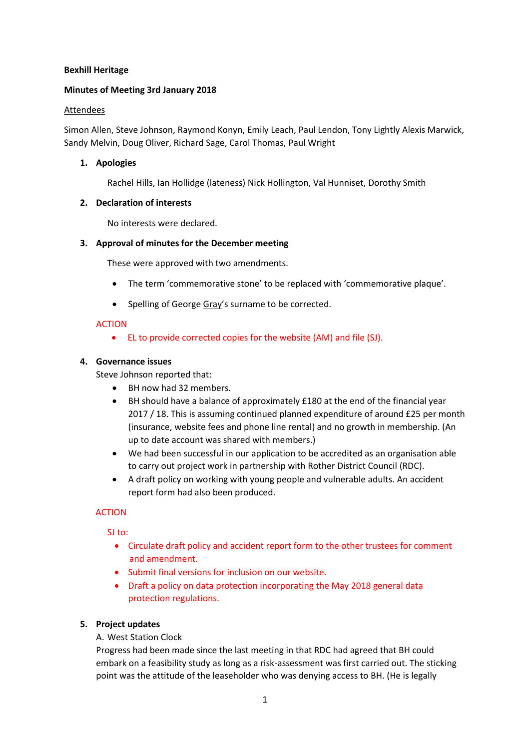# **Bexhill Heritage**

# **Minutes of Meeting 3rd January 2018**

### Attendees

Simon Allen, Steve Johnson, Raymond Konyn, Emily Leach, Paul Lendon, Tony Lightly Alexis Marwick, Sandy Melvin, Doug Oliver, Richard Sage, Carol Thomas, Paul Wright

## **1. Apologies**

Rachel Hills, Ian Hollidge (lateness) Nick Hollington, Val Hunniset, Dorothy Smith

### **2. Declaration of interests**

No interests were declared.

# **3. Approval of minutes for the December meeting**

These were approved with two amendments.

- The term 'commemorative stone' to be replaced with 'commemorative plaque'.
- Spelling of George Gray's surname to be corrected.

# ACTION

EL to provide corrected copies for the website (AM) and file (SJ).

# **4. Governance issues**

Steve Johnson reported that:

- BH now had 32 members.
- BH should have a balance of approximately £180 at the end of the financial year 2017 / 18. This is assuming continued planned expenditure of around £25 per month (insurance, website fees and phone line rental) and no growth in membership. (An up to date account was shared with members.)
- We had been successful in our application to be accredited as an organisation able to carry out project work in partnership with Rother District Council (RDC).
- A draft policy on working with young people and vulnerable adults. An accident report form had also been produced.

# ACTION

SI<sub>to:</sub>

- Circulate draft policy and accident report form to the other trustees for comment and amendment.
- Submit final versions for inclusion on our website.
- Draft a policy on data protection incorporating the May 2018 general data protection regulations.

# **5. Project updates**

# A. West Station Clock

Progress had been made since the last meeting in that RDC had agreed that BH could embark on a feasibility study as long as a risk-assessment was first carried out. The sticking point was the attitude of the leaseholder who was denying access to BH. (He is legally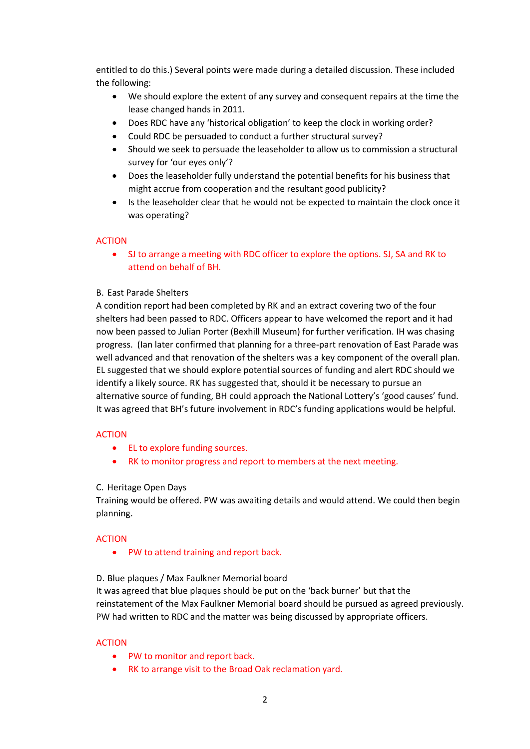entitled to do this.) Several points were made during a detailed discussion. These included the following:

- We should explore the extent of any survey and consequent repairs at the time the lease changed hands in 2011.
- Does RDC have any 'historical obligation' to keep the clock in working order?
- Could RDC be persuaded to conduct a further structural survey?
- Should we seek to persuade the leaseholder to allow us to commission a structural survey for 'our eyes only'?
- Does the leaseholder fully understand the potential benefits for his business that might accrue from cooperation and the resultant good publicity?
- Is the leaseholder clear that he would not be expected to maintain the clock once it was operating?

# ACTION

 SJ to arrange a meeting with RDC officer to explore the options. SJ, SA and RK to attend on behalf of BH.

# B. East Parade Shelters

A condition report had been completed by RK and an extract covering two of the four shelters had been passed to RDC. Officers appear to have welcomed the report and it had now been passed to Julian Porter (Bexhill Museum) for further verification. IH was chasing progress. (Ian later confirmed that planning for a three-part renovation of East Parade was well advanced and that renovation of the shelters was a key component of the overall plan. EL suggested that we should explore potential sources of funding and alert RDC should we identify a likely source. RK has suggested that, should it be necessary to pursue an alternative source of funding, BH could approach the National Lottery's 'good causes' fund. It was agreed that BH's future involvement in RDC's funding applications would be helpful.

# ACTION

- EL to explore funding sources.
- RK to monitor progress and report to members at the next meeting.

### C. Heritage Open Days

Training would be offered. PW was awaiting details and would attend. We could then begin planning.

# ACTION

• PW to attend training and report back.

### D. Blue plaques / Max Faulkner Memorial board

It was agreed that blue plaques should be put on the 'back burner' but that the reinstatement of the Max Faulkner Memorial board should be pursued as agreed previously. PW had written to RDC and the matter was being discussed by appropriate officers.

### ACTION

- PW to monitor and report back.
- RK to arrange visit to the Broad Oak reclamation yard.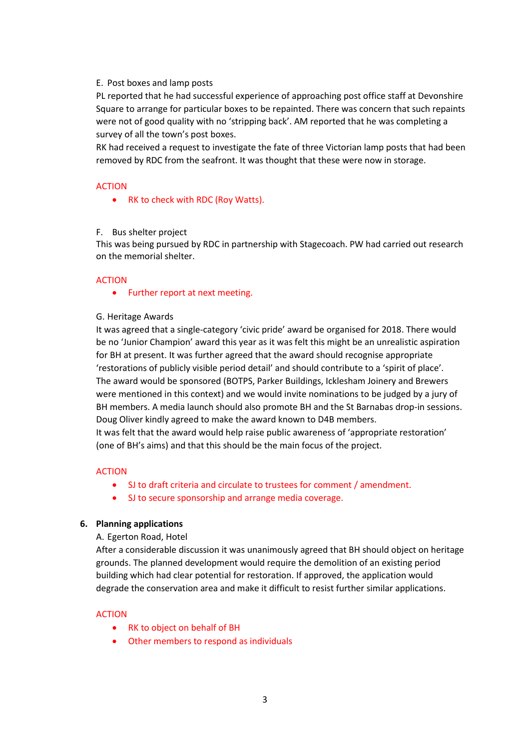#### E. Post boxes and lamp posts

PL reported that he had successful experience of approaching post office staff at Devonshire Square to arrange for particular boxes to be repainted. There was concern that such repaints were not of good quality with no 'stripping back'. AM reported that he was completing a survey of all the town's post boxes.

RK had received a request to investigate the fate of three Victorian lamp posts that had been removed by RDC from the seafront. It was thought that these were now in storage.

### ACTION

• RK to check with RDC (Roy Watts).

#### F. Bus shelter project

This was being pursued by RDC in partnership with Stagecoach. PW had carried out research on the memorial shelter.

#### ACTION

• Further report at next meeting.

#### G. Heritage Awards

It was agreed that a single-category 'civic pride' award be organised for 2018. There would be no 'Junior Champion' award this year as it was felt this might be an unrealistic aspiration for BH at present. It was further agreed that the award should recognise appropriate 'restorations of publicly visible period detail' and should contribute to a 'spirit of place'. The award would be sponsored (BOTPS, Parker Buildings, Icklesham Joinery and Brewers were mentioned in this context) and we would invite nominations to be judged by a jury of BH members. A media launch should also promote BH and the St Barnabas drop-in sessions. Doug Oliver kindly agreed to make the award known to D4B members.

It was felt that the award would help raise public awareness of 'appropriate restoration' (one of BH's aims) and that this should be the main focus of the project.

#### ACTION

- SJ to draft criteria and circulate to trustees for comment / amendment.
- SJ to secure sponsorship and arrange media coverage.

#### **6. Planning applications**

#### A. Egerton Road, Hotel

After a considerable discussion it was unanimously agreed that BH should object on heritage grounds. The planned development would require the demolition of an existing period building which had clear potential for restoration. If approved, the application would degrade the conservation area and make it difficult to resist further similar applications.

#### ACTION

- RK to object on behalf of BH
- Other members to respond as individuals